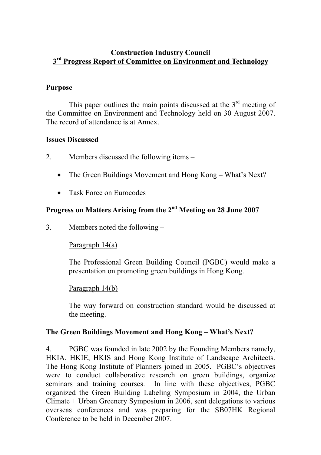#### **Construction Industry Council 3rd Progress Report of Committee on Environment and Technology**

#### **Purpose**

This paper outlines the main points discussed at the  $3<sup>rd</sup>$  meeting of the Committee on Environment and Technology held on 30 August 2007. The record of attendance is at Annex.

#### **Issues Discussed**

- 2. Members discussed the following items
	- The Green Buildings Movement and Hong Kong What's Next?
	- $\bullet$ Task Force on Eurocodes

# **Progress on Matters Arising from the 2nd Meeting on 28 June 2007**

3. Members noted the following –

#### Paragraph 14(a)

The Professional Green Building Council (PGBC) would make a presentation on promoting green buildings in Hong Kong.

#### Paragraph 14(b)

The way forward on construction standard would be discussed at the meeting.

#### **The Green Buildings Movement and Hong Kong – What's Next?**

4. PGBC was founded in late 2002 by the Founding Members namely, HKIA, HKIE, HKIS and Hong Kong Institute of Landscape Architects. The Hong Kong Institute of Planners joined in 2005. PGBC's objectives were to conduct collaborative research on green buildings, organize seminars and training courses. In line with these objectives, PGBC organized the Green Building Labeling Symposium in 2004, the Urban Climate + Urban Greenery Symposium in 2006, sent delegations to various overseas conferences and was preparing for the SB07HK Regional Conference to be held in December 2007.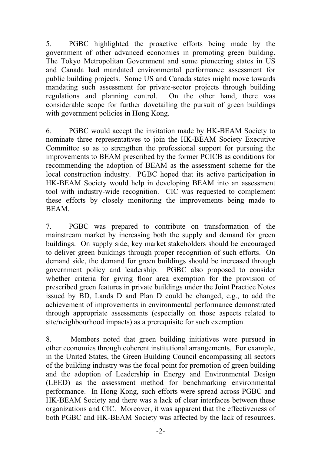5. PGBC highlighted the proactive efforts being made by the government of other advanced economies in promoting green building. The Tokyo Metropolitan Government and some pioneering states in US and Canada had mandated environmental performance assessment for public building projects. Some US and Canada states might move towards mandating such assessment for private-sector projects through building regulations and planning control. On the other hand, there was considerable scope for further dovetailing the pursuit of green buildings with government policies in Hong Kong.

6. PGBC would accept the invitation made by HK-BEAM Society to nominate three representatives to join the HK-BEAM Society Executive Committee so as to strengthen the professional support for pursuing the improvements to BEAM prescribed by the former PCICB as conditions for recommending the adoption of BEAM as the assessment scheme for the local construction industry. PGBC hoped that its active participation in HK-BEAM Society would help in developing BEAM into an assessment tool with industry-wide recognition. CIC was requested to complement these efforts by closely monitoring the improvements being made to BEAM.

7. PGBC was prepared to contribute on transformation of the mainstream market by increasing both the supply and demand for green buildings. On supply side, key market stakeholders should be encouraged to deliver green buildings through proper recognition of such efforts. On demand side, the demand for green buildings should be increased through government policy and leadership. PGBC also proposed to consider whether criteria for giving floor area exemption for the provision of prescribed green features in private buildings under the Joint Practice Notes issued by BD, Lands D and Plan D could be changed, e.g., to add the achievement of improvements in environmental performance demonstrated through appropriate assessments (especially on those aspects related to site/neighbourhood impacts) as a prerequisite for such exemption.

8. Members noted that green building initiatives were pursued in other economies through coherent institutional arrangements. For example, in the United States, the Green Building Council encompassing all sectors of the building industry was the focal point for promotion of green building and the adoption of Leadership in Energy and Environmental Design (LEED) as the assessment method for benchmarking environmental performance. In Hong Kong, such efforts were spread across PGBC and HK-BEAM Society and there was a lack of clear interfaces between these organizations and CIC. Moreover, it was apparent that the effectiveness of both PGBC and HK-BEAM Society was affected by the lack of resources.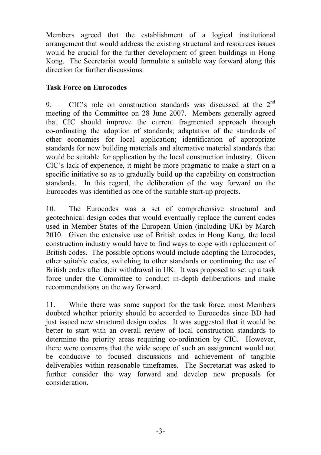Members agreed that the establishment of a logical institutional arrangement that would address the existing structural and resources issues would be crucial for the further development of green buildings in Hong Kong. The Secretariat would formulate a suitable way forward along this direction for further discussions.

# **Task Force on Eurocodes**

9. CIC's role on construction standards was discussed at the  $2<sup>nd</sup>$ meeting of the Committee on 28 June 2007. Members generally agreed that CIC should improve the current fragmented approach through co-ordinating the adoption of standards; adaptation of the standards of other economies for local application; identification of appropriate standards for new building materials and alternative material standards that would be suitable for application by the local construction industry. Given CIC's lack of experience, it might be more pragmatic to make a start on a specific initiative so as to gradually build up the capability on construction standards. In this regard, the deliberation of the way forward on the Eurocodes was identified as one of the suitable start-up projects.

10. The Eurocodes was a set of comprehensive structural and geotechnical design codes that would eventually replace the current codes used in Member States of the European Union (including UK) by March 2010. Given the extensive use of British codes in Hong Kong, the local construction industry would have to find ways to cope with replacement of British codes. The possible options would include adopting the Eurocodes, other suitable codes, switching to other standards or continuing the use of British codes after their withdrawal in UK. It was proposed to set up a task force under the Committee to conduct in-depth deliberations and make recommendations on the way forward.

11. While there was some support for the task force, most Members doubted whether priority should be accorded to Eurocodes since BD had just issued new structural design codes. It was suggested that it would be better to start with an overall review of local construction standards to determine the priority areas requiring co-ordination by CIC. However, there were concerns that the wide scope of such an assignment would not be conducive to focused discussions and achievement of tangible deliverables within reasonable timeframes. The Secretariat was asked to further consider the way forward and develop new proposals for consideration.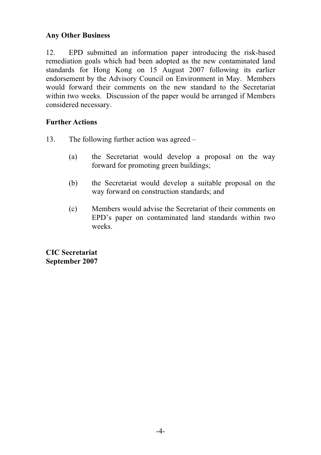# **Any Other Business**

12. EPD submitted an information paper introducing the risk-based remediation goals which had been adopted as the new contaminated land standards for Hong Kong on 15 August 2007 following its earlier endorsement by the Advisory Council on Environment in May. Members would forward their comments on the new standard to the Secretariat within two weeks. Discussion of the paper would be arranged if Members considered necessary.

### **Further Actions**

- 13. The following further action was agreed
	- (a) the Secretariat would develop a proposal on the way forward for promoting green buildings;
	- (b) the Secretariat would develop a suitable proposal on the way forward on construction standards; and
	- (c) Members would advise the Secretariat of their comments on EPD's paper on contaminated land standards within two weeks.

**CIC Secretariat September 2007**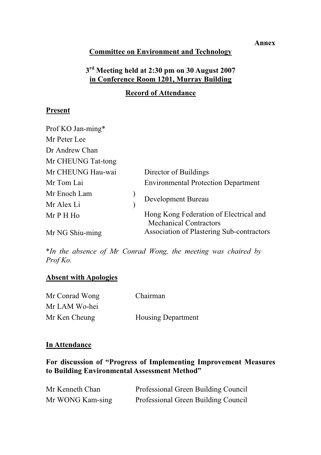## **Committee on Environment and Technology**

# **3rd Meeting held at 2:30 pm on 30 August 2007 in Conference Room 1201, Murray Building**

# **Record of Attendance**

# **Present**

| Prof KO Jan-ming*  |                                                                         |
|--------------------|-------------------------------------------------------------------------|
| Mr Peter Lee       |                                                                         |
| Dr Andrew Chan     |                                                                         |
| Mr CHEUNG Tat-tong |                                                                         |
| Mr CHEUNG Hau-wai  | Director of Buildings                                                   |
| Mr Tom Lai         | <b>Environmental Protection Department</b>                              |
| Mr Enoch Lam       | Development Bureau                                                      |
| Mr Alex Li         |                                                                         |
| Mr P H Ho          | Hong Kong Federation of Electrical and<br><b>Mechanical Contractors</b> |
| Mr NG Shiu-ming    | Association of Plastering Sub-contractors                               |

\**In the absence of Mr Conrad Wong, the meeting was chaired by Prof Ko.*

# **Absent with Apologies**

| Mr Conrad Wong | Chairman                  |
|----------------|---------------------------|
| Mr LAM Wo-hei  |                           |
| Mr Ken Cheung  | <b>Housing Department</b> |

#### **In Attendance**

**For discussion of "Progress of Implementing Improvement Measures to Building Environmental Assessment Method"** 

| Mr Kenneth Chan  | Professional Green Building Council |
|------------------|-------------------------------------|
| Mr WONG Kam-sing | Professional Green Building Council |

#### **Annex**